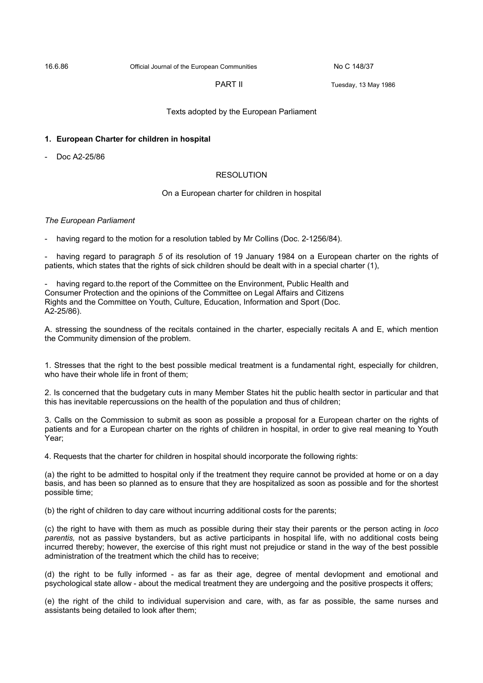16.6.86 Official Journal of the European Communities No C 148/37

PART II Tuesday, 13 May 1986

Texts adopted by the European Parliament

## **1. European Charter for children in hospital**

Doc A2-25/86

## RESOLUTION

## On a European charter for children in hospital

## *The European Parliament*

having regard to the motion for a resolution tabled by Mr Collins (Doc. 2-1256/84).

having regard to paragraph 5 of its resolution of 19 January 1984 on a European charter on the rights of patients, which states that the rights of sick children should be dealt with in a special charter (1),

- having regard to.the report of the Committee on the Environment, Public Health and Consumer Protection and the opinions of the Committee on Legal Affairs and Citizens Rights and the Committee on Youth, Culture, Education, Information and Sport (Doc. A2-25/86).

A. stressing the soundness of the recitals contained in the charter, especially recitals A and E, which mention the Community dimension of the problem.

1. Stresses that the right to the best possible medical treatment is a fundamental right, especially for children, who have their whole life in front of them;

2. Is concerned that the budgetary cuts in many Member States hit the public health sector in particular and that this has inevitable repercussions on the health of the population and thus of children;

3. Calls on the Commission to submit as soon as possible a proposal for a European charter on the rights of patients and for a European charter on the rights of children in hospital, in order to give real meaning to Youth Year;

4. Requests that the charter for children in hospital should incorporate the following rights:

(a) the right to be admitted to hospital only if the treatment they require cannot be provided at home or on a day basis, and has been so planned as to ensure that they are hospitalized as soon as possible and for the shortest possible time;

(b) the right of children to day care without incurring additional costs for the parents;

(c) the right to have with them as much as possible during their stay their parents or the person acting in *loco parentis,* not as passive bystanders, but as active participants in hospital life, with no additional costs being incurred thereby; however, the exercise of this right must not prejudice or stand in the way of the best possible administration of the treatment which the child has to receive;

(d) the right to be fully informed - as far as their age, degree of mental devlopment and emotional and psychological state allow - about the medical treatment they are undergoing and the positive prospects it offers;

(e) the right of the child to individual supervision and care, with, as far as possible, the same nurses and assistants being detailed to look after them;